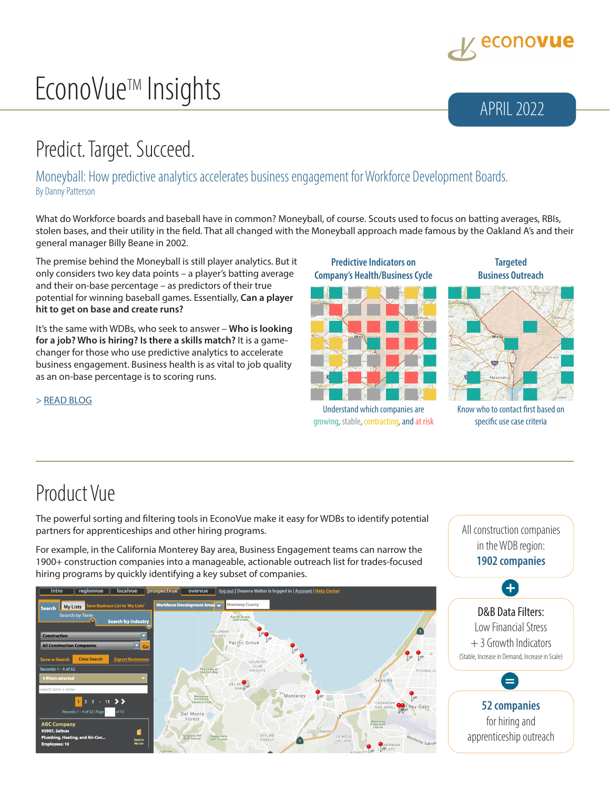

# EconoVue<sup>™</sup> Insights APRIL 2022

## Predict. Target. Succeed.

Moneyball: How predictive analytics accelerates business engagement for Workforce Development Boards. By Danny Patterson

What do Workforce boards and baseball have in common? Moneyball, of course. Scouts used to focus on batting averages, RBIs, stolen bases, and their utility in the field. That all changed with the Moneyball approach made famous by the Oakland A's and their general manager Billy Beane in 2002.

The premise behind the Moneyball is still player analytics. But it only considers two key data points – a player's batting average and their on-base percentage – as predictors of their true potential for winning baseball games. Essentially, **Can a player hit to get on base and create runs?**

It's the same with WDBs, who seek to answer – **Who is looking for a job? Who is hiring? Is there a skills match?** It is a gamechanger for those who use predictive analytics to accelerate business engagement. Business health is as vital to job quality as an on-base percentage is to scoring runs.

**Predictive Indicators on Company's Health/Business Cycle**



Understand which companies are growing, stable, contracting, and at risk

**Targeted Business Outreach**



#### Know who to contact first based on specific use case criteria

#### > [READ BLOG](https://www.econovue.com/moneyball-predict-target-succeed/)

### Product Vue

The powerful sorting and filtering tools in EconoVue make it easy for WDBs to identify potential partners for apprenticeships and other hiring programs.

For example, in the California Monterey Bay area, Business Engagement teams can narrow the 1900+ construction companies into a manageable, actionable outreach list for trades-focused hiring programs by quickly identifying a key subset of companies.





for hiring and apprenticeship outreach